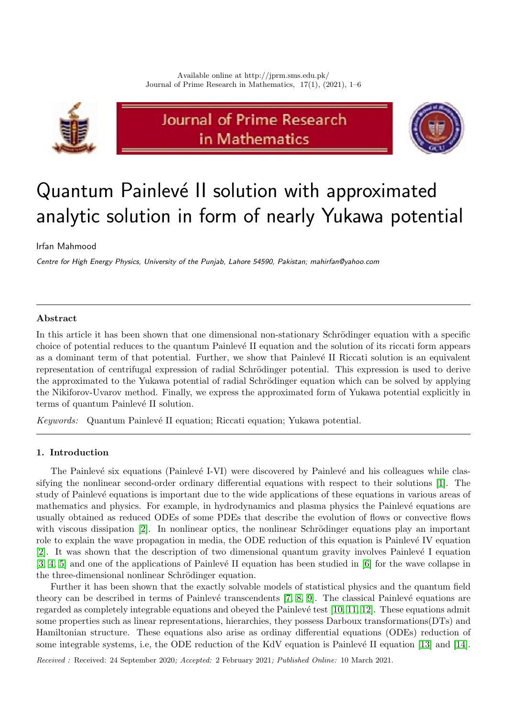

# Journal of Prime Research in Mathematics



# Quantum Painlevé II solution with approximated analytic solution in form of nearly Yukawa potential

Irfan Mahmood

Centre for High Energy Physics, University of the Punjab, Lahore 54590, Pakistan; mahirfan@yahoo.com

## Abstract

In this article it has been shown that one dimensional non-stationary Schrödinger equation with a specific choice of potential reduces to the quantum Painlevé II equation and the solution of its riccati form appears as a dominant term of that potential. Further, we show that Painlevé II Riccati solution is an equivalent representation of centrifugal expression of radial Schrödinger potential. This expression is used to derive the approximated to the Yukawa potential of radial Schrödinger equation which can be solved by applying the Nikiforov-Uvarov method. Finally, we express the approximated form of Yukawa potential explicitly in terms of quantum Painlevé II solution.

Keywords: Quantum Painlevé II equation; Riccati equation; Yukawa potential.

### 1. Introduction

The Painlevé six equations (Painlevé I-VI) were discovered by Painlevé and his colleagues while classifying the nonlinear second-order ordinary differential equations with respect to their solutions [\[1\]](#page-4-0). The study of Painlevé equations is important due to the wide applications of these equations in various areas of mathematics and physics. For example, in hydrodynamics and plasma physics the Painlevé equations are usually obtained as reduced ODEs of some PDEs that describe the evolution of flows or convective flows with viscous dissipation  $[2]$ . In nonlinear optics, the nonlinear Schrödinger equations play an important role to explain the wave propagation in media, the ODE reduction of this equation is Painlevé IV equation [\[2\]](#page-4-1). It was shown that the description of two dimensional quantum gravity involves Painlevé I equation  $[3, 4, 5]$  $[3, 4, 5]$  $[3, 4, 5]$  and one of the applications of Painlevé II equation has been studied in  $[6]$  for the wave collapse in the three-dimensional nonlinear Schrödinger equation.

Further it has been shown that the exactly solvable models of statistical physics and the quantum field theory can be described in terms of Painlevé transcendents  $[7, 8, 9]$  $[7, 8, 9]$  $[7, 8, 9]$ . The classical Painlevé equations are regarded as completely integrable equations and obeyed the Painlevé test [\[10,](#page-4-9) [11,](#page-4-10) [12\]](#page-4-11). These equations admit some properties such as linear representations, hierarchies, they possess Darboux transformations(DTs) and Hamiltonian structure. These equations also arise as ordinay differential equations (ODEs) reduction of some integrable systems, i.e, the ODE reduction of the KdV equation is Painlevé II equation [\[13\]](#page-5-0) and [\[14\]](#page-5-1).

Received : Received: 24 September 2020; Accepted: 2 February 2021; Published Online: 10 March 2021.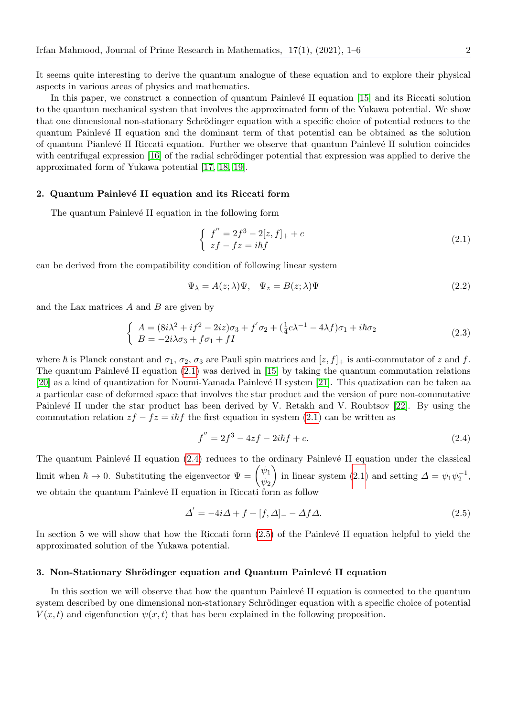It seems quite interesting to derive the quantum analogue of these equation and to explore their physical aspects in various areas of physics and mathematics.

In this paper, we construct a connection of quantum Painlevé II equation [\[15\]](#page-5-2) and its Riccati solution to the quantum mechanical system that involves the approximated form of the Yukawa potential. We show that one dimensional non-stationary Schrödinger equation with a specific choice of potential reduces to the quantum Painlev´e II equation and the dominant term of that potential can be obtained as the solution of quantum Pianlevé II Riccati equation. Further we observe that quantum Painlevé II solution coincides with centrifugal expression  $[16]$  of the radial schrödinger potential that expression was applied to derive the approximated form of Yukawa potential [\[17,](#page-5-4) [18,](#page-5-5) [19\]](#page-5-6).

#### 2. Quantum Painlevé II equation and its Riccati form

The quantum Painlevé II equation in the following form

<span id="page-1-0"></span>
$$
\begin{cases}\nf'' = 2f^3 - 2[z, f]_+ + c \\
zf - fz = i\hbar f\n\end{cases}
$$
\n(2.1)

can be derived from the compatibility condition of following linear system

$$
\Psi_{\lambda} = A(z; \lambda)\Psi, \quad \Psi_{z} = B(z; \lambda)\Psi
$$
\n(2.2)

and the Lax matrices  $A$  and  $B$  are given by

$$
\begin{cases}\nA = (8i\lambda^2 + if^2 - 2iz)\sigma_3 + f'\sigma_2 + (\frac{1}{4}c\lambda^{-1} - 4\lambda f)\sigma_1 + i\hbar\sigma_2 \\
B = -2i\lambda\sigma_3 + f\sigma_1 + fI\n\end{cases}
$$
\n(2.3)

where  $\hbar$  is Planck constant and  $\sigma_1$ ,  $\sigma_2$ ,  $\sigma_3$  are Pauli spin matrices and  $[z, f]_+$  is anti-commutator of z and f. The quantum Painlevé II equation  $(2.1)$  was derived in [\[15\]](#page-5-2) by taking the quantum commutation relations [\[20\]](#page-5-7) as a kind of quantization for Noumi-Yamada Painlevé II system [\[21\]](#page-5-8). This quatization can be taken aa a particular case of deformed space that involves the star product and the version of pure non-commutative Painlevé II under the star product has been derived by V. Retakh and V. Roubtsov [\[22\]](#page-5-9). By using the commutation relation  $zf - fz = i\hbar f$  the first equation in system [\(2.1\)](#page-1-0) can be written as

<span id="page-1-1"></span>
$$
f'' = 2f^3 - 4zf - 2i\hbar f + c.
$$
\n(2.4)

The quantum Painlevé II equation  $(2.4)$  reduces to the ordinary Painlevé II equation under the classical limit when  $\hbar \to 0$ . Substituting the eigenvector  $\Psi = \begin{pmatrix} \psi_1 \\ \psi_2 \end{pmatrix}$  $\psi_2$ in linear system [\(2.1\)](#page-1-0) and setting  $\Delta = \psi_1 \psi_2^{-1}$ , we obtain the quantum Painlevé II equation in Riccati form as follow

<span id="page-1-2"></span>
$$
\Delta' = -4i\Delta + f + [f, \Delta]_{-} - \Delta f \Delta. \tag{2.5}
$$

In section 5 we will show that how the Riccati form  $(2.5)$  of the Painlevé II equation helpful to yield the approximated solution of the Yukawa potential.

#### 3. Non-Stationary Shrödinger equation and Quantum Painlevé II equation

In this section we will observe that how the quantum Painlevé II equation is connected to the quantum system described by one dimensional non-stationary Schrödinger equation with a specific choice of potential  $V(x, t)$  and eigenfunction  $\psi(x, t)$  that has been explained in the following proposition.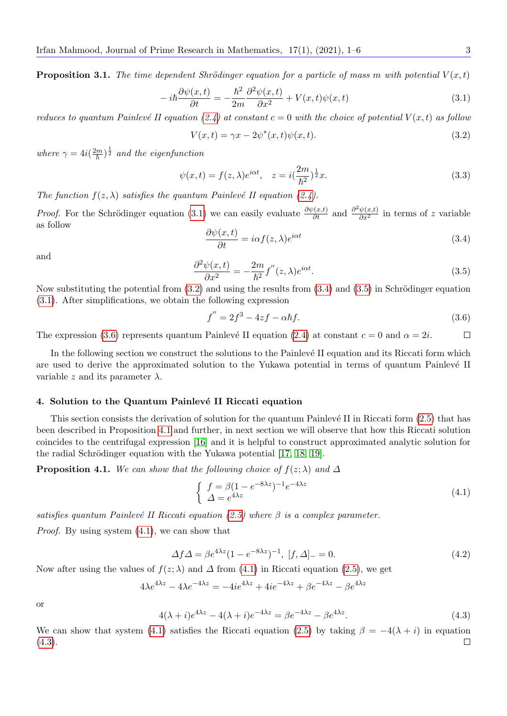**Proposition 3.1.** The time dependent Shrödinger equation for a particle of mass m with potential  $V(x,t)$ 

<span id="page-2-0"></span>
$$
-i\hbar \frac{\partial \psi(x,t)}{\partial t} = -\frac{\hbar^2}{2m} \frac{\partial^2 \psi(x,t)}{\partial x^2} + V(x,t)\psi(x,t)
$$
\n(3.1)

reduces to quantum Painlevé II equation [\(2.4\)](#page-1-1) at constant  $c = 0$  with the choice of potential  $V(x, t)$  as follow

<span id="page-2-1"></span>
$$
V(x,t) = \gamma x - 2\psi^*(x,t)\psi(x,t). \tag{3.2}
$$

where  $\gamma = 4i(\frac{2m}{\hbar})^{\frac{1}{2}}$  and the eigenfunction

$$
\psi(x,t) = f(z,\lambda)e^{i\alpha t}, \quad z = i\left(\frac{2m}{\hbar^2}\right)^{\frac{1}{2}}x.
$$
\n(3.3)

The function  $f(z, \lambda)$  satisfies the quantum Painlevé II equation [\(2.4\)](#page-1-1).

*Proof.* For the Schrödinger equation [\(3.1\)](#page-2-0) we can easily evaluate  $\frac{\partial \psi(x,t)}{\partial t}$  and  $\frac{\partial^2 \psi(x,t)}{\partial x^2}$  in terms of z variable as follow

<span id="page-2-2"></span>
$$
\frac{\partial \psi(x,t)}{\partial t} = i\alpha f(z,\lambda)e^{i\alpha t}
$$
\n(3.4)

and

<span id="page-2-3"></span>
$$
\frac{\partial^2 \psi(x,t)}{\partial x^2} = -\frac{2m}{\hbar^2} f''(z,\lambda)e^{i\alpha t}.
$$
\n(3.5)

Now substituting the potential from  $(3.2)$  and using the results from  $(3.4)$  and  $(3.5)$  in Schrödinger equation [\(3.1\)](#page-2-0). After simplifications, we obtain the following expression

<span id="page-2-4"></span>
$$
f'' = 2f^3 - 4zf - \alpha \hbar f. \tag{3.6}
$$

The expression [\(3.6\)](#page-2-4) represents quantum Painlevé II equation [\(2.4\)](#page-1-1) at constant  $c = 0$  and  $\alpha = 2i$ .  $\Box$ 

In the following section we construct the solutions to the Painlevé II equation and its Riccati form which are used to derive the approximated solution to the Yukawa potential in terms of quantum Painlevé II variable z and its parameter  $\lambda$ .

#### 4. Solution to the Quantum Painlevé II Riccati equation

This section consists the derivation of solution for the quantum Painlevé II in Riccati form [\(2.5\)](#page-1-2) that has been described in Proposition [4.1](#page-2-5) and further, in next section we will observe that how this Riccati solution coincides to the centrifugal expression [\[16\]](#page-5-3) and it is helpful to construct approximated analytic solution for the radial Schrödinger equation with the Yukawa potential [\[17,](#page-5-4) [18,](#page-5-5) [19\]](#page-5-6).

<span id="page-2-5"></span>**Proposition 4.1.** We can show that the following choice of  $f(z; \lambda)$  and  $\Delta$ 

<span id="page-2-6"></span>
$$
\begin{cases}\nf = \beta (1 - e^{-8\lambda z})^{-1} e^{-4\lambda z} \\
\Delta = e^{4\lambda z}\n\end{cases} \tag{4.1}
$$

satisfies quantum Painlevé II Riccati equation [\(2.5\)](#page-1-2) where  $\beta$  is a complex parameter.

Proof. By using system [\(4.1\)](#page-2-6), we can show that

$$
\Delta f \Delta = \beta e^{4\lambda z} (1 - e^{-8\lambda z})^{-1}, \ [f, \Delta]_{-} = 0.
$$
\n(4.2)

Now after using the values of  $f(z; \lambda)$  and  $\Delta$  from [\(4.1\)](#page-2-6) in Riccati equation [\(2.5\)](#page-1-2), we get

$$
4\lambda e^{4\lambda z} - 4\lambda e^{-4\lambda z} = -4ie^{4\lambda z} + 4ie^{-4\lambda z} + \beta e^{-4\lambda z} - \beta e^{4\lambda z}
$$

or

<span id="page-2-7"></span>
$$
4(\lambda + i)e^{4\lambda z} - 4(\lambda + i)e^{-4\lambda z} = \beta e^{-4\lambda z} - \beta e^{4\lambda z}.
$$
\n(4.3)

We can show that system [\(4.1\)](#page-2-6) satisfies the Riccati equation [\(2.5\)](#page-1-2) by taking  $\beta = -4(\lambda + i)$  in equation  $(4.3).$  $(4.3).$  $\Box$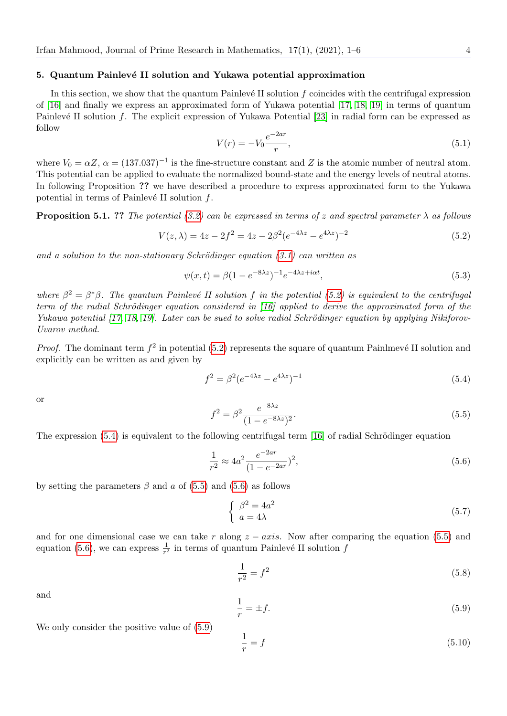#### 5. Quantum Painlevé II solution and Yukawa potential approximation

In this section, we show that the quantum Painlevé II solution  $f$  coincides with the centrifugal expression of [\[16\]](#page-5-3) and finally we express an approximated form of Yukawa potential [\[17,](#page-5-4) [18,](#page-5-5) [19\]](#page-5-6) in terms of quantum Painlevé II solution f. The explicit expression of Yukawa Potential [\[23\]](#page-5-10) in radial form can be expressed as follow

<span id="page-3-6"></span>
$$
V(r) = -V_0 \frac{e^{-2ar}}{r},\tag{5.1}
$$

where  $V_0 = \alpha Z$ ,  $\alpha = (137.037)^{-1}$  is the fine-structure constant and Z is the atomic number of neutral atom. This potential can be applied to evaluate the normalized bound-state and the energy levels of neutral atoms. In following Proposition ?? we have described a procedure to express approximated form to the Yukawa potential in terms of Painlevé II solution  $f$ .

**Proposition 5.1.** ?? The potential [\(3.2\)](#page-2-1) can be expressed in terms of z and spectral parameter  $\lambda$  as follows

<span id="page-3-0"></span>
$$
V(z, \lambda) = 4z - 2f^2 = 4z - 2\beta^2 (e^{-4\lambda z} - e^{4\lambda z})^{-2}
$$
\n(5.2)

and a solution to the non-stationary Schrödinger equation  $(3.1)$  can written as

$$
\psi(x,t) = \beta (1 - e^{-8\lambda z})^{-1} e^{-4\lambda z + i\alpha t},\tag{5.3}
$$

where  $\beta^2 = \beta^* \beta$ . The quantum Painlevé II solution f in the potential [\(5.2\)](#page-3-0) is equivalent to the centrifugal term of the radial Schrödinger equation considered in  $(16)$  applied to derive the approximated form of the Yukawa potential  $[17, 18, 19]$  $[17, 18, 19]$  $[17, 18, 19]$ . Later can be sued to solve radial Schrödinger equation by applying Nikiforov-Uvarov method.

*Proof.* The dominant term  $f^2$  in potential [\(5.2\)](#page-3-0) represents the square of quantum Painlmevé II solution and explicitly can be written as and given by

<span id="page-3-1"></span>
$$
f^2 = \beta^2 (e^{-4\lambda z} - e^{4\lambda z})^{-1}
$$
 (5.4)

or

<span id="page-3-2"></span>
$$
f^{2} = \beta^{2} \frac{e^{-8\lambda z}}{(1 - e^{-8\lambda z})^{2}}.
$$
\n(5.5)

The expression  $(5.4)$  is equivalent to the following centrifugal term [\[16\]](#page-5-3) of radial Schrödinger equation

<span id="page-3-3"></span>
$$
\frac{1}{r^2} \approx 4a^2 \frac{e^{-2ar}}{(1 - e^{-2ar})^2},\tag{5.6}
$$

by setting the parameters  $\beta$  and a of [\(5.5\)](#page-3-2) and [\(5.6\)](#page-3-3) as follows

$$
\begin{cases}\n\beta^2 = 4a^2 \\
a = 4\lambda\n\end{cases}
$$
\n(5.7)

and for one dimensional case we can take r along  $z - axis$ . Now after comparing the equation [\(5.5\)](#page-3-2) and equation [\(5.6\)](#page-3-3), we can express  $\frac{1}{r^2}$  in terms of quantum Painlevé II solution f

$$
\frac{1}{r^2} = f^2 \tag{5.8}
$$

and

<span id="page-3-4"></span>
$$
\frac{1}{r} = \pm f. \tag{5.9}
$$

We only consider the positive value of [\(5.9\)](#page-3-4)

<span id="page-3-5"></span>
$$
\frac{1}{r} = f \tag{5.10}
$$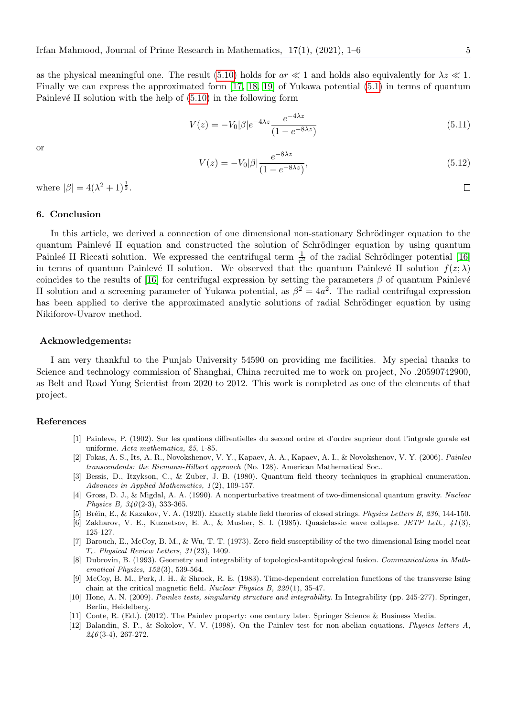as the physical meaningful one. The result [\(5.10\)](#page-3-5) holds for  $ar \ll 1$  and holds also equivalently for  $\lambda z \ll 1$ . Finally we can express the approximated form [\[17,](#page-5-4) [18,](#page-5-5) [19\]](#page-5-6) of Yukawa potential [\(5.1\)](#page-3-6) in terms of quantum Painlevé II solution with the help of  $(5.10)$  in the following form

$$
V(z) = -V_0|\beta|e^{-4\lambda z} \frac{e^{-4\lambda z}}{(1 - e^{-8\lambda z})}
$$
\n(5.11)

or

$$
V(z) = -V_0|\beta|\frac{e^{-8\lambda z}}{(1 - e^{-8\lambda z})},\tag{5.12}
$$

where  $|\beta| = 4(\lambda^2 + 1)^{\frac{1}{2}}$ .

#### 6. Conclusion

In this article, we derived a connection of one dimensional non-stationary Schrödinger equation to the quantum Painlevé II equation and constructed the solution of Schrödinger equation by using quantum Painleé II Riccati solution. We expressed the centrifugal term  $\frac{1}{r^2}$  of the radial Schrödinger potential [\[16\]](#page-5-3) in terms of quantum Painlevé II solution. We observed that the quantum Painlevé II solution  $f(z; \lambda)$ coincides to the results of [\[16\]](#page-5-3) for centrifugal expression by setting the parameters  $\beta$  of quantum Painlevé II solution and a screening parameter of Yukawa potential, as  $\beta^2 = 4a^2$ . The radial centrifugal expression has been applied to derive the approximated analytic solutions of radial Schrödinger equation by using Nikiforov-Uvarov method.

#### Acknowledgements:

I am very thankful to the Punjab University 54590 on providing me facilities. My special thanks to Science and technology commission of Shanghai, China recruited me to work on project, No .20590742900, as Belt and Road Yung Scientist from 2020 to 2012. This work is completed as one of the elements of that project.

#### References

- <span id="page-4-0"></span>[1] Painleve, P. (1902). Sur les quations diffrentielles du second ordre et d'ordre suprieur dont l'intgrale gnrale est uniforme. Acta mathematica, 25, 1-85.
- <span id="page-4-1"></span>[2] Fokas, A. S., Its, A. R., Novokshenov, V. Y., Kapaev, A. A., Kapaev, A. I., & Novokshenov, V. Y. (2006). Painlev transcendents: the Riemann-Hilbert approach (No. 128). American Mathematical Soc..
- <span id="page-4-2"></span>[3] Bessis, D., Itzykson, C., & Zuber, J. B. (1980). Quantum field theory techniques in graphical enumeration. Advances in Applied Mathematics,  $1(2)$ , 109-157.
- <span id="page-4-3"></span>[4] Gross, D. J., & Migdal, A. A. (1990). A nonperturbative treatment of two-dimensional quantum gravity. Nuclear Physics B,  $340(2-3)$ , 333-365.
- <span id="page-4-4"></span>[5] Br´ein, E., & Kazakov, V. A. (1920). Exactly stable field theories of closed strings. Physics Letters B, 236, 144-150.
- <span id="page-4-5"></span>[6] Zakharov, V. E., Kuznetsov, E. A., & Musher, S. I. (1985). Quasiclassic wave collapse. JETP Lett., 41(3), 125-127.
- <span id="page-4-6"></span>[7] Barouch, E., McCoy, B. M., & Wu, T. T. (1973). Zero-field susceptibility of the two-dimensional Ising model near  $T_c$ . Physical Review Letters, 31(23), 1409.
- <span id="page-4-7"></span>[8] Dubrovin, B. (1993). Geometry and integrability of topological-antitopological fusion. Communications in Mathematical *Physics*, 152(3), 539-564.
- <span id="page-4-8"></span>[9] McCoy, B. M., Perk, J. H., & Shrock, R. E. (1983). Time-dependent correlation functions of the transverse Ising chain at the critical magnetic field. Nuclear Physics B, 220 (1), 35-47.
- <span id="page-4-9"></span>[10] Hone, A. N. (2009). Painlev tests, singularity structure and integrability. In Integrability (pp. 245-277). Springer, Berlin, Heidelberg.
- <span id="page-4-10"></span>[11] Conte, R. (Ed.). (2012). The Painlev property: one century later. Springer Science & Business Media.
- <span id="page-4-11"></span>[12] Balandin, S. P., & Sokolov, V. V. (1998). On the Painlev test for non-abelian equations. Physics letters A,  $246(3-4)$ , 267-272.

 $\Box$